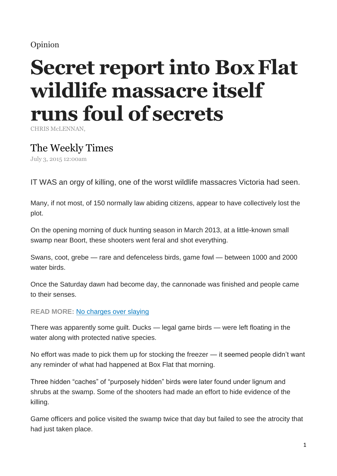## Opinion

# **Secret report into BoxFlat wildlife massacre itself runs foul of secrets**

CHRIS McLENNAN,

## The Weekly Times

July 3, 2015 12:00am

IT WAS an orgy of killing, one of the worst wildlife massacres Victoria had seen.

Many, if not most, of 150 normally law abiding citizens, appear to have collectively lost the plot.

On the opening morning of duck hunting season in March 2013, at a little-known small swamp near Boort, these shooters went feral and shot everything.

Swans, coot, grebe — rare and defenceless birds, game fowl — between 1000 and 2000 water birds.

Once the Saturday dawn had become day, the cannonade was finished and people came to their senses.

### **READ MORE:** No charges over slaying

There was apparently some guilt. Ducks — legal game birds — were left floating in the water along with protected native species.

No effort was made to pick them up for stocking the freezer — it seemed people didn't want any reminder of what had happened at Box Flat that morning.

Three hidden "caches" of "purposely hidden" birds were later found under lignum and shrubs at the swamp. Some of the shooters had made an effort to hide evidence of the killing.

Game officers and police visited the swamp twice that day but failed to see the atrocity that had just taken place.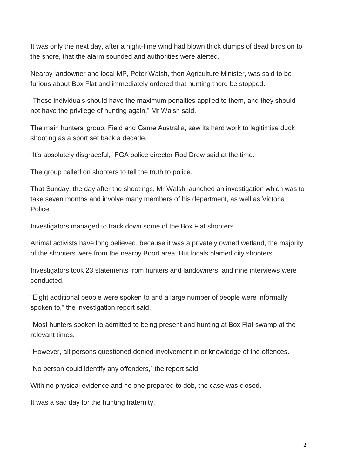It was only the next day, after a night-time wind had blown thick clumps of dead birds on to the shore, that the alarm sounded and authorities were alerted.

Nearby landowner and local MP, Peter Walsh, then Agriculture Minister, was said to be furious about Box Flat and immediately ordered that hunting there be stopped.

"These individuals should have the maximum penalties applied to them, and they should not have the privilege of hunting again," Mr Walsh said.

The main hunters' group, Field and Game Australia, saw its hard work to legitimise duck shooting as a sport set back a decade.

"It's absolutely disgraceful," FGA police director Rod Drew said at the time.

The group called on shooters to tell the truth to police.

That Sunday, the day after the shootings, Mr Walsh launched an investigation which was to take seven months and involve many members of his department, as well as Victoria Police.

Investigators managed to track down some of the Box Flat shooters.

Animal activists have long believed, because it was a privately owned wetland, the majority of the shooters were from the nearby Boort area. But locals blamed city shooters.

Investigators took 23 statements from hunters and landowners, and nine interviews were conducted.

"Eight additional people were spoken to and a large number of people were informally spoken to," the investigation report said.

"Most hunters spoken to admitted to being present and hunting at Box Flat swamp at the relevant times.

"However, all persons questioned denied involvement in or knowledge of the offences.

"No person could identify any offenders," the report said.

With no physical evidence and no one prepared to dob, the case was closed.

It was a sad day for the hunting fraternity.